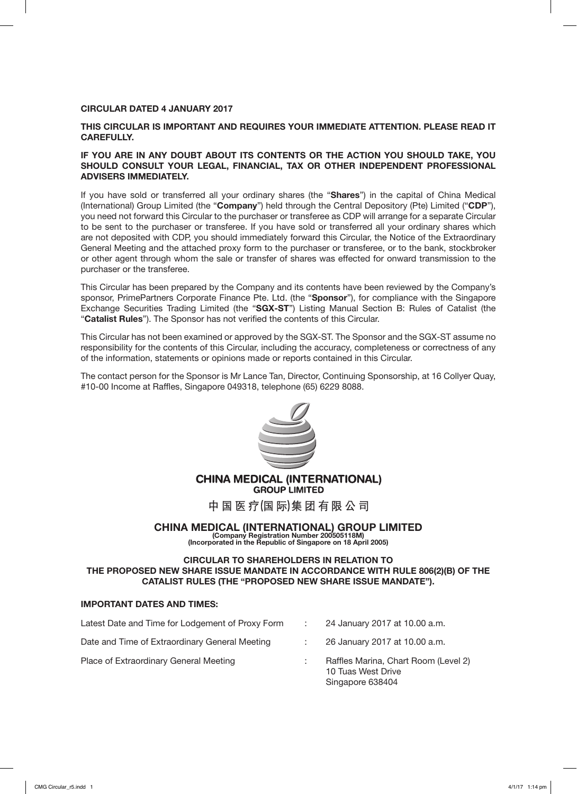## CIRCULAR DATED 4 JANUARY 2017

# THIS CIRCULAR IS IMPORTANT AND REQUIRES YOUR IMMEDIATE ATTENTION. PLEASE READ IT CAREFULLY.

# IF YOU ARE IN ANY DOUBT ABOUT ITS CONTENTS OR THE ACTION YOU SHOULD TAKE, YOU SHOULD CONSULT YOUR LEGAL, FINANCIAL, TAX OR OTHER INDEPENDENT PROFESSIONAL ADVISERS IMMEDIATELY.

If you have sold or transferred all your ordinary shares (the "Shares") in the capital of China Medical (International) Group Limited (the "Company") held through the Central Depository (Pte) Limited ("CDP"), you need not forward this Circular to the purchaser or transferee as CDP will arrange for a separate Circular to be sent to the purchaser or transferee. If you have sold or transferred all your ordinary shares which are not deposited with CDP, you should immediately forward this Circular, the Notice of the Extraordinary General Meeting and the attached proxy form to the purchaser or transferee, or to the bank, stockbroker or other agent through whom the sale or transfer of shares was effected for onward transmission to the purchaser or the transferee.

This Circular has been prepared by the Company and its contents have been reviewed by the Company's sponsor, PrimePartners Corporate Finance Pte. Ltd. (the "Sponsor"), for compliance with the Singapore Exchange Securities Trading Limited (the "SGX-ST") Listing Manual Section B: Rules of Catalist (the "Catalist Rules"). The Sponsor has not verified the contents of this Circular.

This Circular has not been examined or approved by the SGX-ST. The Sponsor and the SGX-ST assume no responsibility for the contents of this Circular, including the accuracy, completeness or correctness of any of the information, statements or opinions made or reports contained in this Circular.

The contact person for the Sponsor is Mr Lance Tan, Director, Continuing Sponsorship, at 16 Collyer Quay, #10-00 Income at Raffles, Singapore 049318, telephone (65) 6229 8088.



# **CHINA MEDICAL (INTERNATIONAL) GROUP LIMITED**

# 中国医疗(国际)集团有限公司

# **CHINA MEDICAL (INTERNATIONAL) GROUP LIMITED**

(INCORPORATED INTERNATIONAL CONDUCTS)<br>(Company Registration Number 200505118M)<br>(Incorporated in the Republic of Singapore on 18 April 2005)

# CIRCULAR TO SHAREHOLDERS IN RELATION TO THE PROPOSED NEW SHARE ISSUE MANDATE IN ACCORDANCE WITH RULE 806(2)(B) OF THE CATALIST RULES (THE "PROPOSED NEW SHARE ISSUE MANDATE").

## IMPORTANT DATES AND TIMES:

| Latest Date and Time for Lodgement of Proxy Form | 24 January 2017 at 10.00 a.m.                                                  |
|--------------------------------------------------|--------------------------------------------------------------------------------|
| Date and Time of Extraordinary General Meeting   | 26 January 2017 at 10.00 a.m.                                                  |
| Place of Extraordinary General Meeting           | Raffles Marina, Chart Room (Level 2)<br>10 Tuas West Drive<br>Singapore 638404 |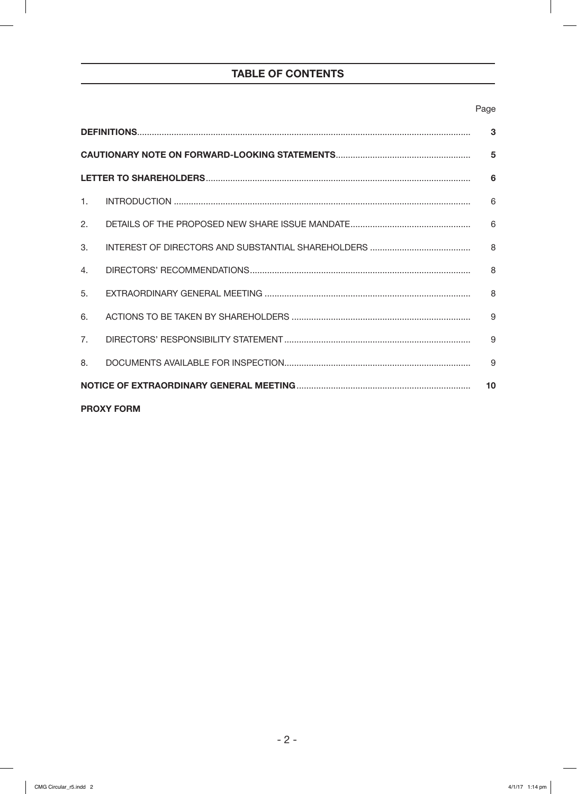# TABLE OF CONTENTS

# Page

| 3               |                   |    |
|-----------------|-------------------|----|
|                 |                   | 5  |
|                 |                   | 6  |
| $\mathbf{1}$ .  |                   | 6  |
| 2.              |                   | 6  |
| $\mathcal{B}$ . |                   | 8  |
| 4.              |                   | 8  |
| 5 <sub>1</sub>  |                   | 8  |
| 6.              |                   | 9  |
| 7.              |                   | 9  |
| 8.              |                   | 9  |
|                 |                   | 10 |
|                 | <b>PROXY FORM</b> |    |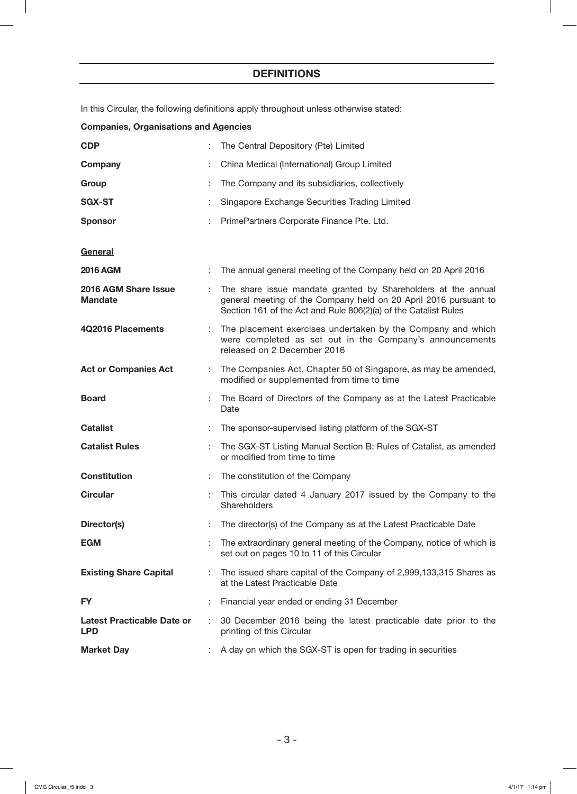# **DEFINITIONS**

In this Circular, the following definitions apply throughout unless otherwise stated:

| <b>CDP</b>                                      |    | The Central Depository (Pte) Limited                                                                                                                                                                 |
|-------------------------------------------------|----|------------------------------------------------------------------------------------------------------------------------------------------------------------------------------------------------------|
| Company                                         |    | China Medical (International) Group Limited                                                                                                                                                          |
| Group                                           | ÷. | The Company and its subsidiaries, collectively                                                                                                                                                       |
| <b>SGX-ST</b>                                   |    | Singapore Exchange Securities Trading Limited                                                                                                                                                        |
| <b>Sponsor</b>                                  |    | PrimePartners Corporate Finance Pte. Ltd.                                                                                                                                                            |
|                                                 |    |                                                                                                                                                                                                      |
| General                                         |    |                                                                                                                                                                                                      |
| <b>2016 AGM</b>                                 |    | The annual general meeting of the Company held on 20 April 2016                                                                                                                                      |
| 2016 AGM Share Issue<br><b>Mandate</b>          | ÷. | The share issue mandate granted by Shareholders at the annual<br>general meeting of the Company held on 20 April 2016 pursuant to<br>Section 161 of the Act and Rule 806(2)(a) of the Catalist Rules |
| 4Q2016 Placements                               |    | The placement exercises undertaken by the Company and which<br>were completed as set out in the Company's announcements<br>released on 2 December 2016                                               |
| <b>Act or Companies Act</b>                     |    | The Companies Act, Chapter 50 of Singapore, as may be amended,<br>modified or supplemented from time to time                                                                                         |
| <b>Board</b>                                    |    | The Board of Directors of the Company as at the Latest Practicable<br>Date                                                                                                                           |
| <b>Catalist</b>                                 |    | The sponsor-supervised listing platform of the SGX-ST                                                                                                                                                |
| <b>Catalist Rules</b>                           | ÷. | The SGX-ST Listing Manual Section B: Rules of Catalist, as amended<br>or modified from time to time                                                                                                  |
| <b>Constitution</b>                             |    | The constitution of the Company                                                                                                                                                                      |
| <b>Circular</b>                                 |    | This circular dated 4 January 2017 issued by the Company to the<br>Shareholders                                                                                                                      |
| Director(s)                                     |    | The director(s) of the Company as at the Latest Practicable Date                                                                                                                                     |
| <b>EGM</b>                                      |    | The extraordinary general meeting of the Company, notice of which is<br>set out on pages 10 to 11 of this Circular                                                                                   |
| <b>Existing Share Capital</b>                   |    | The issued share capital of the Company of 2,999,133,315 Shares as<br>at the Latest Practicable Date                                                                                                 |
| <b>FY</b>                                       |    | Financial year ended or ending 31 December                                                                                                                                                           |
| <b>Latest Practicable Date or</b><br><b>LPD</b> | ÷  | 30 December 2016 being the latest practicable date prior to the<br>printing of this Circular                                                                                                         |
| <b>Market Day</b>                               |    | A day on which the SGX-ST is open for trading in securities                                                                                                                                          |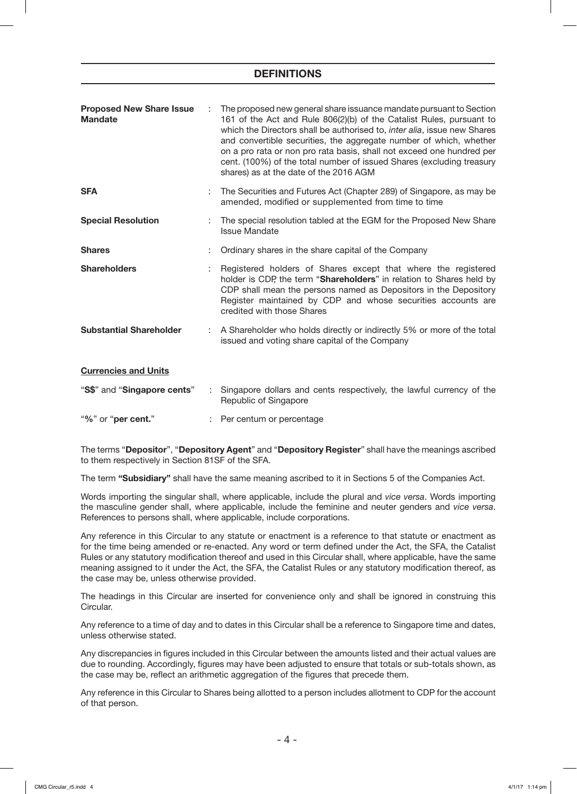# **DEFINITIONS**

| <b>Proposed New Share Issue</b><br><b>Mandate</b> | ÷ | The proposed new general share issuance mandate pursuant to Section<br>161 of the Act and Rule 806(2)(b) of the Catalist Rules, pursuant to<br>which the Directors shall be authorised to, <i>inter alia</i> , issue new Shares<br>and convertible securities, the aggregate number of which, whether<br>on a pro rata or non pro rata basis, shall not exceed one hundred per<br>cent. (100%) of the total number of issued Shares (excluding treasury<br>shares) as at the date of the 2016 AGM |
|---------------------------------------------------|---|---------------------------------------------------------------------------------------------------------------------------------------------------------------------------------------------------------------------------------------------------------------------------------------------------------------------------------------------------------------------------------------------------------------------------------------------------------------------------------------------------|
| <b>SFA</b>                                        |   | : The Securities and Futures Act (Chapter 289) of Singapore, as may be<br>amended, modified or supplemented from time to time                                                                                                                                                                                                                                                                                                                                                                     |
| <b>Special Resolution</b>                         |   | : The special resolution tabled at the EGM for the Proposed New Share<br><b>Issue Mandate</b>                                                                                                                                                                                                                                                                                                                                                                                                     |
| <b>Shares</b>                                     |   | Ordinary shares in the share capital of the Company                                                                                                                                                                                                                                                                                                                                                                                                                                               |
| <b>Shareholders</b>                               |   | Registered holders of Shares except that where the registered<br>holder is CDP, the term "Shareholders" in relation to Shares held by<br>CDP shall mean the persons named as Depositors in the Depository<br>Register maintained by CDP and whose securities accounts are<br>credited with those Shares                                                                                                                                                                                           |
| <b>Substantial Shareholder</b>                    |   | : A Shareholder who holds directly or indirectly 5% or more of the total<br>issued and voting share capital of the Company                                                                                                                                                                                                                                                                                                                                                                        |
| <b>Currencies and Units</b>                       |   |                                                                                                                                                                                                                                                                                                                                                                                                                                                                                                   |
| "S\$" and "Singapore cents"                       |   | : Singapore dollars and cents respectively, the lawful currency of the                                                                                                                                                                                                                                                                                                                                                                                                                            |

Republic of Singapore

"%" or "per cent." : Per centum or percentage

The terms "Depositor", "Depository Agent" and "Depository Register" shall have the meanings ascribed to them respectively in Section 81SF of the SFA.

The term "Subsidiary" shall have the same meaning ascribed to it in Sections 5 of the Companies Act.

Words importing the singular shall, where applicable, include the plural and *vice versa*. Words importing the masculine gender shall, where applicable, include the feminine and neuter genders and *vice versa*. References to persons shall, where applicable, include corporations.

Any reference in this Circular to any statute or enactment is a reference to that statute or enactment as for the time being amended or re-enacted. Any word or term defined under the Act, the SFA, the Catalist Rules or any statutory modification thereof and used in this Circular shall, where applicable, have the same meaning assigned to it under the Act, the SFA, the Catalist Rules or any statutory modification thereof, as the case may be, unless otherwise provided.

The headings in this Circular are inserted for convenience only and shall be ignored in construing this Circular.

Any reference to a time of day and to dates in this Circular shall be a reference to Singapore time and dates, unless otherwise stated.

Any discrepancies in figures included in this Circular between the amounts listed and their actual values are due to rounding. Accordingly, figures may have been adjusted to ensure that totals or sub-totals shown, as the case may be, reflect an arithmetic aggregation of the figures that precede them.

Any reference in this Circular to Shares being allotted to a person includes allotment to CDP for the account of that person.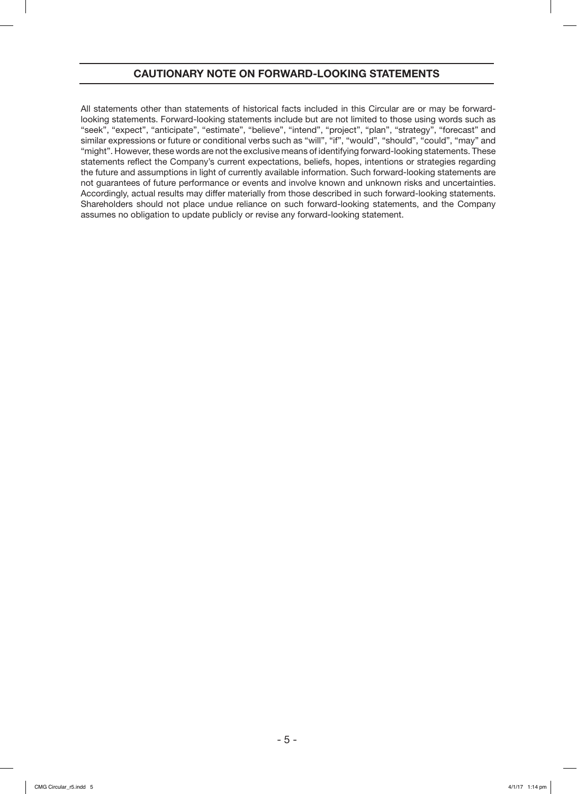# CAUTIONARY NOTE ON FORWARD-LOOKING STATEMENTS

All statements other than statements of historical facts included in this Circular are or may be forwardlooking statements. Forward-looking statements include but are not limited to those using words such as "seek", "expect", "anticipate", "estimate", "believe", "intend", "project", "plan", "strategy", "forecast" and similar expressions or future or conditional verbs such as "will", "if", "would", "should", "could", "may" and "might". However, these words are not the exclusive means of identifying forward-looking statements. These statements reflect the Company's current expectations, beliefs, hopes, intentions or strategies regarding the future and assumptions in light of currently available information. Such forward-looking statements are not guarantees of future performance or events and involve known and unknown risks and uncertainties. Accordingly, actual results may differ materially from those described in such forward-looking statements. Shareholders should not place undue reliance on such forward-looking statements, and the Company assumes no obligation to update publicly or revise any forward-looking statement.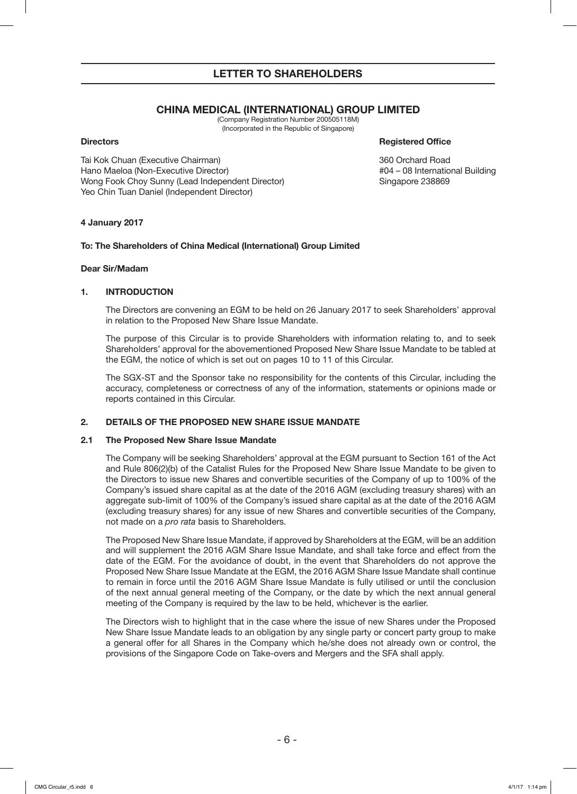# CHINA MEDICAL (INTERNATIONAL) GROUP LIMITED

(Company Registration Number 200505118M) (Incorporated in the Republic of Singapore)

Tai Kok Chuan (Executive Chairman) Hano Maeloa (Non-Executive Director) Wong Fook Choy Sunny (Lead Independent Director) Yeo Chin Tuan Daniel (Independent Director)

**Directors Contract Contract Contract Contract Contract Contract Contract Contract Contract Contract Contract Contract Contract Contract Contract Contract Contract Contract Contract Contract Contract Contract Contract Co** 

360 Orchard Road #04 – 08 International Building Singapore 238869

# 4 January 2017

# To: The Shareholders of China Medical (International) Group Limited

## Dear Sir/Madam

# 1. INTRODUCTION

The Directors are convening an EGM to be held on 26 January 2017 to seek Shareholders' approval in relation to the Proposed New Share Issue Mandate.

The purpose of this Circular is to provide Shareholders with information relating to, and to seek Shareholders' approval for the abovementioned Proposed New Share Issue Mandate to be tabled at the EGM, the notice of which is set out on pages 10 to 11 of this Circular.

The SGX-ST and the Sponsor take no responsibility for the contents of this Circular, including the accuracy, completeness or correctness of any of the information, statements or opinions made or reports contained in this Circular.

# 2. DETAILS OF THE PROPOSED NEW SHARE ISSUE MANDATE

## 2.1 The Proposed New Share Issue Mandate

The Company will be seeking Shareholders' approval at the EGM pursuant to Section 161 of the Act and Rule 806(2)(b) of the Catalist Rules for the Proposed New Share Issue Mandate to be given to the Directors to issue new Shares and convertible securities of the Company of up to 100% of the Company's issued share capital as at the date of the 2016 AGM (excluding treasury shares) with an aggregate sub-limit of 100% of the Company's issued share capital as at the date of the 2016 AGM (excluding treasury shares) for any issue of new Shares and convertible securities of the Company, not made on a *pro rata* basis to Shareholders.

The Proposed New Share Issue Mandate, if approved by Shareholders at the EGM, will be an addition and will supplement the 2016 AGM Share Issue Mandate, and shall take force and effect from the date of the EGM. For the avoidance of doubt, in the event that Shareholders do not approve the Proposed New Share Issue Mandate at the EGM, the 2016 AGM Share Issue Mandate shall continue to remain in force until the 2016 AGM Share Issue Mandate is fully utilised or until the conclusion of the next annual general meeting of the Company, or the date by which the next annual general meeting of the Company is required by the law to be held, whichever is the earlier.

The Directors wish to highlight that in the case where the issue of new Shares under the Proposed New Share Issue Mandate leads to an obligation by any single party or concert party group to make a general offer for all Shares in the Company which he/she does not already own or control, the provisions of the Singapore Code on Take-overs and Mergers and the SFA shall apply.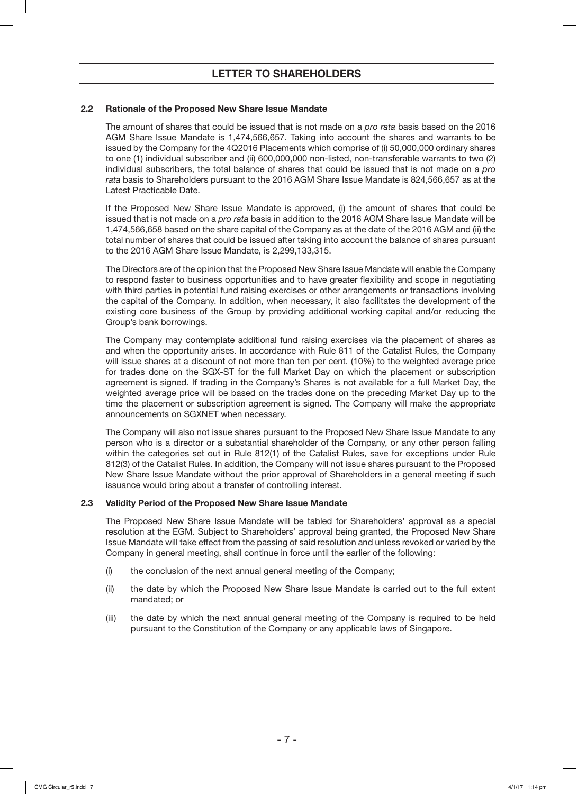# 2.2 Rationale of the Proposed New Share Issue Mandate

The amount of shares that could be issued that is not made on a *pro rata* basis based on the 2016 AGM Share Issue Mandate is 1,474,566,657. Taking into account the shares and warrants to be issued by the Company for the 4Q2016 Placements which comprise of (i) 50,000,000 ordinary shares to one (1) individual subscriber and (ii) 600,000,000 non-listed, non-transferable warrants to two (2) individual subscribers, the total balance of shares that could be issued that is not made on a *pro rata* basis to Shareholders pursuant to the 2016 AGM Share Issue Mandate is 824,566,657 as at the Latest Practicable Date.

If the Proposed New Share Issue Mandate is approved, (i) the amount of shares that could be issued that is not made on a *pro rata* basis in addition to the 2016 AGM Share Issue Mandate will be 1,474,566,658 based on the share capital of the Company as at the date of the 2016 AGM and (ii) the total number of shares that could be issued after taking into account the balance of shares pursuant to the 2016 AGM Share Issue Mandate, is 2,299,133,315.

The Directors are of the opinion that the Proposed New Share Issue Mandate will enable the Company to respond faster to business opportunities and to have greater flexibility and scope in negotiating with third parties in potential fund raising exercises or other arrangements or transactions involving the capital of the Company. In addition, when necessary, it also facilitates the development of the existing core business of the Group by providing additional working capital and/or reducing the Group's bank borrowings.

The Company may contemplate additional fund raising exercises via the placement of shares as and when the opportunity arises. In accordance with Rule 811 of the Catalist Rules, the Company will issue shares at a discount of not more than ten per cent. (10%) to the weighted average price for trades done on the SGX-ST for the full Market Day on which the placement or subscription agreement is signed. If trading in the Company's Shares is not available for a full Market Day, the weighted average price will be based on the trades done on the preceding Market Day up to the time the placement or subscription agreement is signed. The Company will make the appropriate announcements on SGXNET when necessary.

The Company will also not issue shares pursuant to the Proposed New Share Issue Mandate to any person who is a director or a substantial shareholder of the Company, or any other person falling within the categories set out in Rule 812(1) of the Catalist Rules, save for exceptions under Rule 812(3) of the Catalist Rules. In addition, the Company will not issue shares pursuant to the Proposed New Share Issue Mandate without the prior approval of Shareholders in a general meeting if such issuance would bring about a transfer of controlling interest.

# 2.3 Validity Period of the Proposed New Share Issue Mandate

The Proposed New Share Issue Mandate will be tabled for Shareholders' approval as a special resolution at the EGM. Subject to Shareholders' approval being granted, the Proposed New Share Issue Mandate will take effect from the passing of said resolution and unless revoked or varied by the Company in general meeting, shall continue in force until the earlier of the following:

- (i) the conclusion of the next annual general meeting of the Company;
- (ii) the date by which the Proposed New Share Issue Mandate is carried out to the full extent mandated; or
- (iii) the date by which the next annual general meeting of the Company is required to be held pursuant to the Constitution of the Company or any applicable laws of Singapore.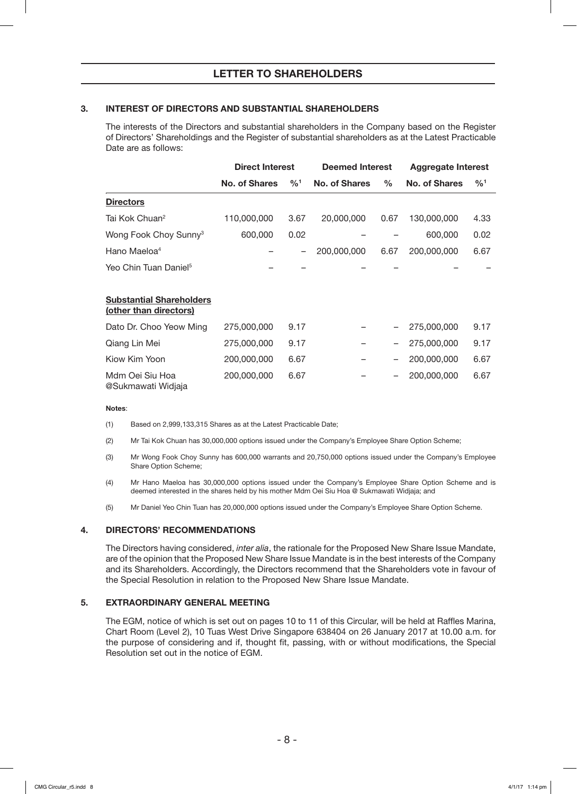# 3. INTEREST OF DIRECTORS AND SUBSTANTIAL SHAREHOLDERS

The interests of the Directors and substantial shareholders in the Company based on the Register of Directors' Shareholdings and the Register of substantial shareholders as at the Latest Practicable Date are as follows:

|                                                           | <b>Direct Interest</b> |                            | <b>Deemed Interest</b> |      | <b>Aggregate Interest</b> |                            |
|-----------------------------------------------------------|------------------------|----------------------------|------------------------|------|---------------------------|----------------------------|
|                                                           | No. of Shares          | $\frac{9}{6}$ <sup>1</sup> | No. of Shares          | $\%$ | No. of Shares             | $\frac{9}{6}$ <sup>1</sup> |
| <b>Directors</b>                                          |                        |                            |                        |      |                           |                            |
| Tai Kok Chuan <sup>2</sup>                                | 110,000,000            | 3.67                       | 20,000,000             | 0.67 | 130,000,000               | 4.33                       |
| Wong Fook Choy Sunny <sup>3</sup>                         | 600,000                | 0.02                       |                        |      | 600,000                   | 0.02                       |
| Hano Maeloa <sup>4</sup>                                  |                        |                            | 200,000,000            | 6.67 | 200,000,000               | 6.67                       |
| Yeo Chin Tuan Daniel <sup>5</sup>                         |                        |                            |                        |      |                           |                            |
|                                                           |                        |                            |                        |      |                           |                            |
| <b>Substantial Shareholders</b><br>(other than directors) |                        |                            |                        |      |                           |                            |
| Dato Dr. Choo Yeow Ming                                   | 275,000,000            | 9.17                       |                        |      | 275,000,000               | 9.17                       |
| Qiang Lin Mei                                             | 275,000,000            | 9.17                       |                        |      | 275,000,000               | 9.17                       |
| Kiow Kim Yoon                                             | 200,000,000            | 6.67                       |                        | -    | 200,000,000               | 6.67                       |
| Mdm Oei Siu Hoa<br>@Sukmawati Widjaja                     | 200,000,000            | 6.67                       |                        |      | 200,000,000               | 6.67                       |

### Notes:

(1) Based on 2,999,133,315 Shares as at the Latest Practicable Date;

(2) Mr Tai Kok Chuan has 30,000,000 options issued under the Company's Employee Share Option Scheme;

- (3) Mr Wong Fook Choy Sunny has 600,000 warrants and 20,750,000 options issued under the Company's Employee Share Option Scheme;
- (4) Mr Hano Maeloa has 30,000,000 options issued under the Company's Employee Share Option Scheme and is deemed interested in the shares held by his mother Mdm Oei Siu Hoa @ Sukmawati Widjaja; and
- (5) Mr Daniel Yeo Chin Tuan has 20,000,000 options issued under the Company's Employee Share Option Scheme.

# 4. DIRECTORS' RECOMMENDATIONS

The Directors having considered, *inter alia*, the rationale for the Proposed New Share Issue Mandate, are of the opinion that the Proposed New Share Issue Mandate is in the best interests of the Company and its Shareholders. Accordingly, the Directors recommend that the Shareholders vote in favour of the Special Resolution in relation to the Proposed New Share Issue Mandate.

## 5. EXTRAORDINARY GENERAL MEETING

The EGM, notice of which is set out on pages 10 to 11 of this Circular, will be held at Raffles Marina, Chart Room (Level 2), 10 Tuas West Drive Singapore 638404 on 26 January 2017 at 10.00 a.m. for the purpose of considering and if, thought fit, passing, with or without modifications, the Special Resolution set out in the notice of EGM.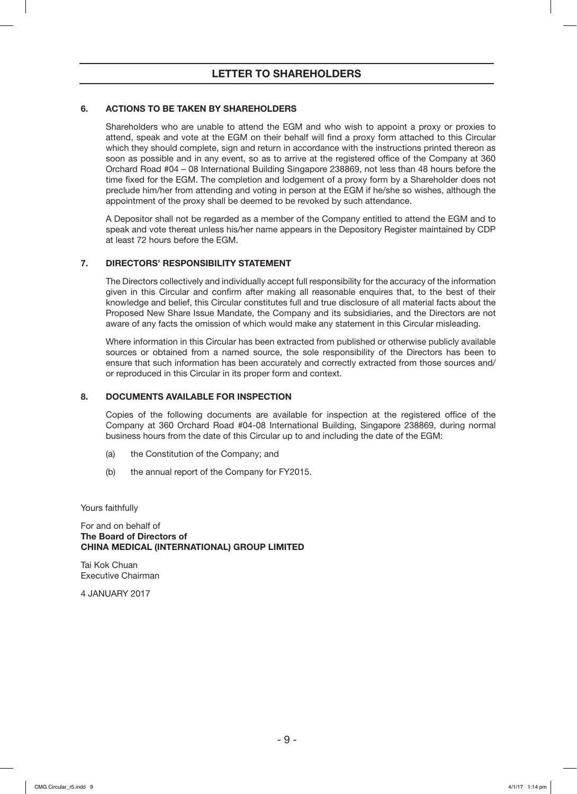# 6. ACTIONS TO BE TAKEN BY SHAREHOLDERS

Shareholders who are unable to attend the EGM and who wish to appoint a proxy or proxies to attend, speak and vote at the EGM on their behalf will find a proxy form attached to this Circular which they should complete, sign and return in accordance with the instructions printed thereon as soon as possible and in any event, so as to arrive at the registered office of the Company at 360 Orchard Road #04 – 08 International Building Singapore 238869, not less than 48 hours before the time fixed for the EGM. The completion and lodgement of a proxy form by a Shareholder does not preclude him/her from attending and voting in person at the EGM if he/she so wishes, although the appointment of the proxy shall be deemed to be revoked by such attendance.

A Depositor shall not be regarded as a member of the Company entitled to attend the EGM and to speak and vote thereat unless his/her name appears in the Depository Register maintained by CDP at least 72 hours before the EGM.

# 7. DIRECTORS' RESPONSIBILITY STATEMENT

The Directors collectively and individually accept full responsibility for the accuracy of the information given in this Circular and confirm after making all reasonable enquires that, to the best of their knowledge and belief, this Circular constitutes full and true disclosure of all material facts about the Proposed New Share Issue Mandate, the Company and its subsidiaries, and the Directors are not aware of any facts the omission of which would make any statement in this Circular misleading.

Where information in this Circular has been extracted from published or otherwise publicly available sources or obtained from a named source, the sole responsibility of the Directors has been to ensure that such information has been accurately and correctly extracted from those sources and/ or reproduced in this Circular in its proper form and context.

# 8. DOCUMENTS AVAILABLE FOR INSPECTION

Copies of the following documents are available for inspection at the registered office of the Company at 360 Orchard Road #04-08 International Building, Singapore 238869, during normal business hours from the date of this Circular up to and including the date of the EGM:

- (a) the Constitution of the Company; and
- (b) the annual report of the Company for FY2015.

Yours faithfully

For and on behalf of The Board of Directors of CHINA MEDICAL (INTERNATIONAL) GROUP LIMITED

Tai Kok Chuan Executive Chairman

4 JANUARY 2017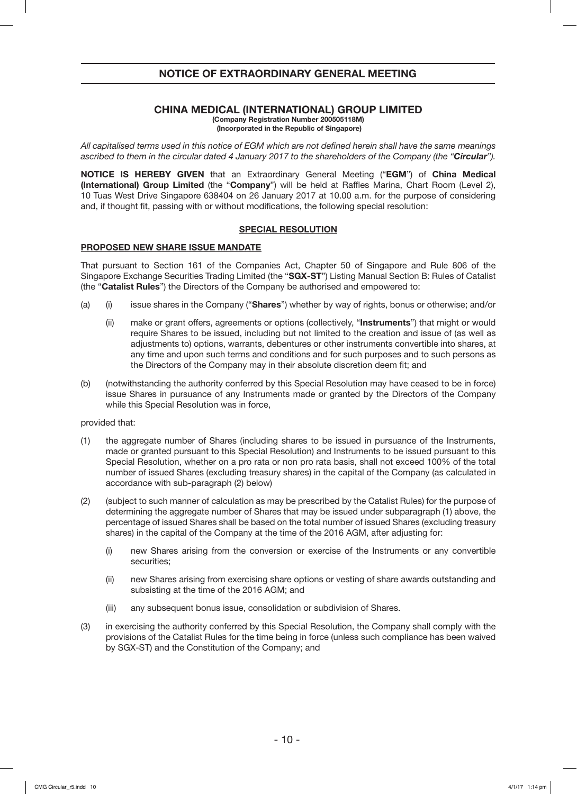# CHINA MEDICAL (INTERNATIONAL) GROUP LIMITED

(Company Registration Number 200505118M) (Incorporated in the Republic of Singapore)

*All capitalised terms used in this notice of EGM which are not defined herein shall have the same meanings ascribed to them in the circular dated 4 January 2017 to the shareholders of the Company (the "Circular").*

NOTICE IS HEREBY GIVEN that an Extraordinary General Meeting ("EGM") of China Medical (International) Group Limited (the "Company") will be held at Raffles Marina, Chart Room (Level 2), 10 Tuas West Drive Singapore 638404 on 26 January 2017 at 10.00 a.m. for the purpose of considering and, if thought fit, passing with or without modifications, the following special resolution:

# SPECIAL RESOLUTION

# PROPOSED NEW SHARE ISSUE MANDATE

That pursuant to Section 161 of the Companies Act, Chapter 50 of Singapore and Rule 806 of the Singapore Exchange Securities Trading Limited (the "SGX-ST") Listing Manual Section B: Rules of Catalist (the "Catalist Rules") the Directors of the Company be authorised and empowered to:

- (a) (i) issue shares in the Company ("Shares") whether by way of rights, bonus or otherwise; and/or
	- (ii) make or grant offers, agreements or options (collectively, "Instruments") that might or would require Shares to be issued, including but not limited to the creation and issue of (as well as adjustments to) options, warrants, debentures or other instruments convertible into shares, at any time and upon such terms and conditions and for such purposes and to such persons as the Directors of the Company may in their absolute discretion deem fit; and
- (b) (notwithstanding the authority conferred by this Special Resolution may have ceased to be in force) issue Shares in pursuance of any Instruments made or granted by the Directors of the Company while this Special Resolution was in force,

## provided that:

- (1) the aggregate number of Shares (including shares to be issued in pursuance of the Instruments, made or granted pursuant to this Special Resolution) and Instruments to be issued pursuant to this Special Resolution, whether on a pro rata or non pro rata basis, shall not exceed 100% of the total number of issued Shares (excluding treasury shares) in the capital of the Company (as calculated in accordance with sub-paragraph (2) below)
- (2) (subject to such manner of calculation as may be prescribed by the Catalist Rules) for the purpose of determining the aggregate number of Shares that may be issued under subparagraph (1) above, the percentage of issued Shares shall be based on the total number of issued Shares (excluding treasury shares) in the capital of the Company at the time of the 2016 AGM, after adjusting for:
	- (i) new Shares arising from the conversion or exercise of the Instruments or any convertible securities;
	- (ii) new Shares arising from exercising share options or vesting of share awards outstanding and subsisting at the time of the 2016 AGM; and
	- (iii) any subsequent bonus issue, consolidation or subdivision of Shares.
- (3) in exercising the authority conferred by this Special Resolution, the Company shall comply with the provisions of the Catalist Rules for the time being in force (unless such compliance has been waived by SGX-ST) and the Constitution of the Company; and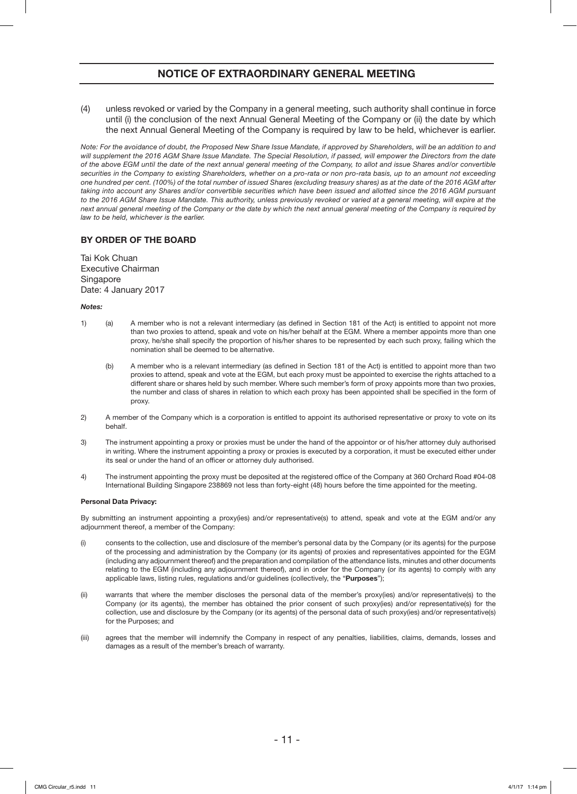# NOTICE OF EXTRAORDINARY GENERAL MEETING

(4) unless revoked or varied by the Company in a general meeting, such authority shall continue in force until (i) the conclusion of the next Annual General Meeting of the Company or (ii) the date by which the next Annual General Meeting of the Company is required by law to be held, whichever is earlier.

*Note: For the avoidance of doubt, the Proposed New Share Issue Mandate, if approved by Shareholders, will be an addition to and will supplement the 2016 AGM Share Issue Mandate. The Special Resolution, if passed, will empower the Directors from the date of the above EGM until the date of the next annual general meeting of the Company, to allot and issue Shares and/or convertible securities in the Company to existing Shareholders, whether on a pro-rata or non pro-rata basis, up to an amount not exceeding one hundred per cent. (100%) of the total number of issued Shares (excluding treasury shares) as at the date of the 2016 AGM after*  taking into account any Shares and/or convertible securities which have been issued and allotted since the 2016 AGM pursuant to the 2016 AGM Share Issue Mandate. This authority, unless previously revoked or varied at a general meeting, will expire at the *next annual general meeting of the Company or the date by which the next annual general meeting of the Company is required by law to be held, whichever is the earlier.* 

# BY ORDER OF THE BOARD

Tai Kok Chuan Executive Chairman Singapore Date: 4 January 2017

#### *Notes:*

- 1) (a) A member who is not a relevant intermediary (as defined in Section 181 of the Act) is entitled to appoint not more than two proxies to attend, speak and vote on his/her behalf at the EGM. Where a member appoints more than one proxy, he/she shall specify the proportion of his/her shares to be represented by each such proxy, failing which the nomination shall be deemed to be alternative.
	- (b) A member who is a relevant intermediary (as defined in Section 181 of the Act) is entitled to appoint more than two proxies to attend, speak and vote at the EGM, but each proxy must be appointed to exercise the rights attached to a different share or shares held by such member. Where such member's form of proxy appoints more than two proxies, the number and class of shares in relation to which each proxy has been appointed shall be specified in the form of proxy.
- 2) A member of the Company which is a corporation is entitled to appoint its authorised representative or proxy to vote on its behalf.
- 3) The instrument appointing a proxy or proxies must be under the hand of the appointor or of his/her attorney duly authorised in writing. Where the instrument appointing a proxy or proxies is executed by a corporation, it must be executed either under its seal or under the hand of an officer or attorney duly authorised.
- 4) The instrument appointing the proxy must be deposited at the registered office of the Company at 360 Orchard Road #04-08 International Building Singapore 238869 not less than forty-eight (48) hours before the time appointed for the meeting.

### Personal Data Privacy:

By submitting an instrument appointing a proxy(ies) and/or representative(s) to attend, speak and vote at the EGM and/or any adjournment thereof, a member of the Company:

- (i) consents to the collection, use and disclosure of the member's personal data by the Company (or its agents) for the purpose of the processing and administration by the Company (or its agents) of proxies and representatives appointed for the EGM (including any adjournment thereof) and the preparation and compilation of the attendance lists, minutes and other documents relating to the EGM (including any adjournment thereof), and in order for the Company (or its agents) to comply with any applicable laws, listing rules, regulations and/or guidelines (collectively, the "Purposes");
- (ii) warrants that where the member discloses the personal data of the member's proxy(ies) and/or representative(s) to the Company (or its agents), the member has obtained the prior consent of such proxy(ies) and/or representative(s) for the collection, use and disclosure by the Company (or its agents) of the personal data of such proxy(ies) and/or representative(s) for the Purposes; and
- (iii) agrees that the member will indemnify the Company in respect of any penalties, liabilities, claims, demands, losses and damages as a result of the member's breach of warranty.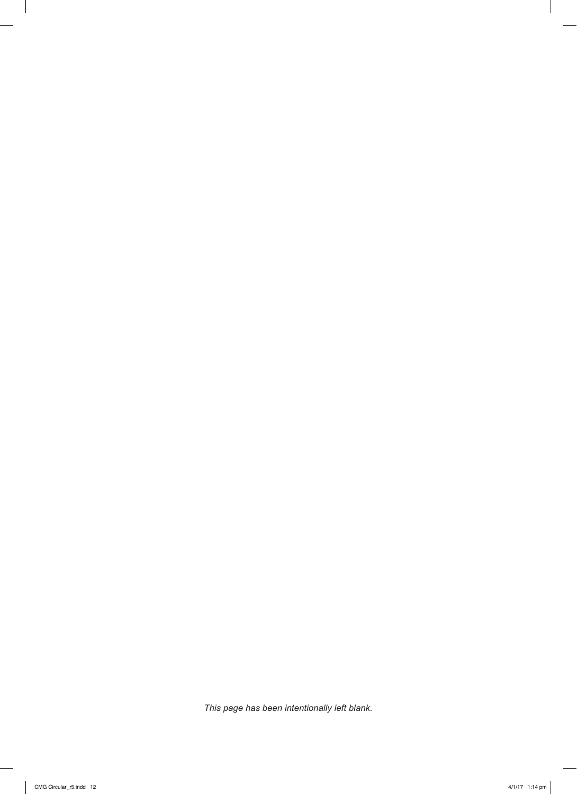*This page has been intentionally left blank.*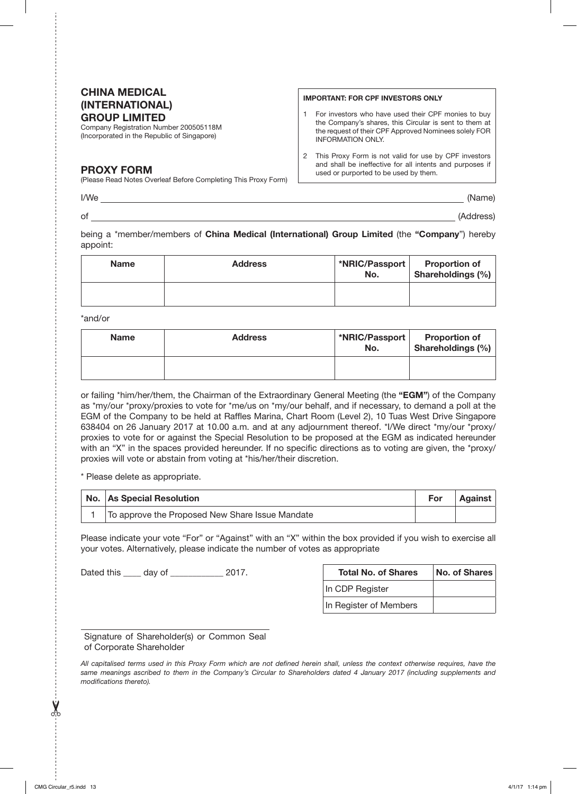# CHINA MEDICAL (INTERNATIONAL) GROUP LIMITED

Company Registration Number 200505118M (Incorporated in the Republic of Singapore)

# PROXY FORM

(Please Read Notes Overleaf Before Completing This Proxy Form)

## IMPORTANT: FOR CPF INVESTORS ONLY

- 1 For investors who have used their CPF monies to buy the Company's shares, this Circular is sent to them at the request of their CPF Approved Nominees solely FOR INFORMATION ONLY.
- 2 This Proxy Form is not valid for use by CPF investors and shall be ineffective for all intents and purposes if used or purported to be used by them.

I/We (Name)

of (Address)

being a \*member/members of China Medical (International) Group Limited (the "Company") hereby appoint:

| <b>Name</b> | <b>Address</b> | *NRIC/Passport<br>No. | <b>Proportion of</b><br>Shareholdings (%) |
|-------------|----------------|-----------------------|-------------------------------------------|
|             |                |                       |                                           |

## \*and/or

✂

| <b>Name</b> | <b>Address</b> |  | *NRIC/Passport<br><b>Proportion of</b><br>Shareholdings (%) |  |
|-------------|----------------|--|-------------------------------------------------------------|--|
|             |                |  |                                                             |  |

or failing \*him/her/them, the Chairman of the Extraordinary General Meeting (the "EGM") of the Company as \*my/our \*proxy/proxies to vote for \*me/us on \*my/our behalf, and if necessary, to demand a poll at the EGM of the Company to be held at Raffles Marina, Chart Room (Level 2), 10 Tuas West Drive Singapore 638404 on 26 January 2017 at 10.00 a.m. and at any adjournment thereof. \*I/We direct \*my/our \*proxy/ proxies to vote for or against the Special Resolution to be proposed at the EGM as indicated hereunder with an "X" in the spaces provided hereunder. If no specific directions as to voting are given, the \*proxy/ proxies will vote or abstain from voting at \*his/her/their discretion.

\* Please delete as appropriate.

| No.   As Special Resolution                     | <b>For</b> | Against |
|-------------------------------------------------|------------|---------|
| To approve the Proposed New Share Issue Mandate |            |         |

Please indicate your vote "For" or "Against" with an "X" within the box provided if you wish to exercise all your votes. Alternatively, please indicate the number of votes as appropriate

Dated this \_\_\_\_ day of \_\_\_\_\_\_\_\_\_\_\_ 2017.

| <b>Total No. of Shares</b> | No. of Shares |
|----------------------------|---------------|
| In CDP Register            |               |
| In Register of Members     |               |

Signature of Shareholder(s) or Common Seal of Corporate Shareholder

*All capitalised terms used in this Proxy Form which are not defined herein shall, unless the context otherwise requires, have the same meanings ascribed to them in the Company's Circular to Shareholders dated 4 January 2017 (including supplements and modifications thereto).*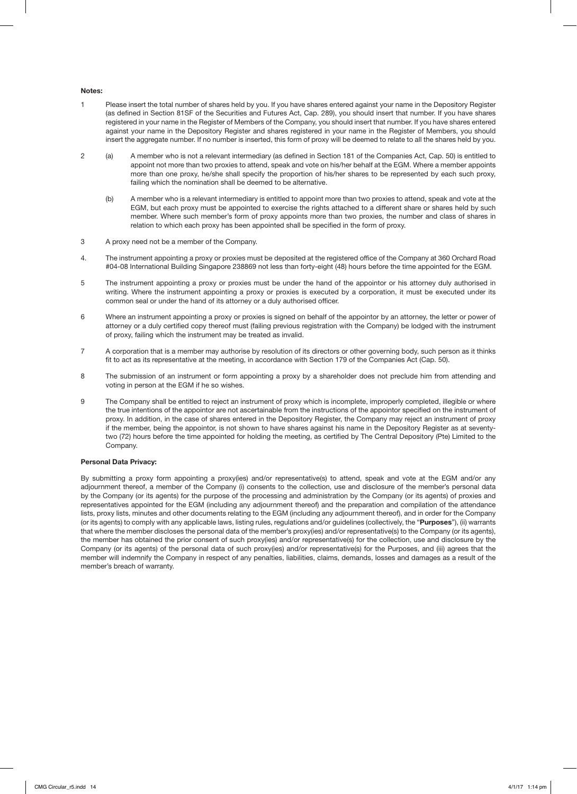#### Notes:

- 1 Please insert the total number of shares held by you. If you have shares entered against your name in the Depository Register (as defined in Section 81SF of the Securities and Futures Act, Cap. 289), you should insert that number. If you have shares registered in your name in the Register of Members of the Company, you should insert that number. If you have shares entered against your name in the Depository Register and shares registered in your name in the Register of Members, you should insert the aggregate number. If no number is inserted, this form of proxy will be deemed to relate to all the shares held by you.
- 2 (a) A member who is not a relevant intermediary (as defined in Section 181 of the Companies Act, Cap. 50) is entitled to appoint not more than two proxies to attend, speak and vote on his/her behalf at the EGM. Where a member appoints more than one proxy, he/she shall specify the proportion of his/her shares to be represented by each such proxy, failing which the nomination shall be deemed to be alternative.
	- (b) A member who is a relevant intermediary is entitled to appoint more than two proxies to attend, speak and vote at the EGM, but each proxy must be appointed to exercise the rights attached to a different share or shares held by such member. Where such member's form of proxy appoints more than two proxies, the number and class of shares in relation to which each proxy has been appointed shall be specified in the form of proxy.
- 3 A proxy need not be a member of the Company.
- 4. The instrument appointing a proxy or proxies must be deposited at the registered office of the Company at 360 Orchard Road #04-08 International Building Singapore 238869 not less than forty-eight (48) hours before the time appointed for the EGM.
- 5 The instrument appointing a proxy or proxies must be under the hand of the appointor or his attorney duly authorised in writing. Where the instrument appointing a proxy or proxies is executed by a corporation, it must be executed under its common seal or under the hand of its attorney or a duly authorised officer.
- 6 Where an instrument appointing a proxy or proxies is signed on behalf of the appointor by an attorney, the letter or power of attorney or a duly certified copy thereof must (failing previous registration with the Company) be lodged with the instrument of proxy, failing which the instrument may be treated as invalid.
- 7 A corporation that is a member may authorise by resolution of its directors or other governing body, such person as it thinks fit to act as its representative at the meeting, in accordance with Section 179 of the Companies Act (Cap. 50).
- 8 The submission of an instrument or form appointing a proxy by a shareholder does not preclude him from attending and voting in person at the EGM if he so wishes.
- 9 The Company shall be entitled to reject an instrument of proxy which is incomplete, improperly completed, illegible or where the true intentions of the appointor are not ascertainable from the instructions of the appointor specified on the instrument of proxy. In addition, in the case of shares entered in the Depository Register, the Company may reject an instrument of proxy if the member, being the appointor, is not shown to have shares against his name in the Depository Register as at seventytwo (72) hours before the time appointed for holding the meeting, as certified by The Central Depository (Pte) Limited to the Company.

#### Personal Data Privacy:

By submitting a proxy form appointing a proxy(ies) and/or representative(s) to attend, speak and vote at the EGM and/or any adjournment thereof, a member of the Company (i) consents to the collection, use and disclosure of the member's personal data by the Company (or its agents) for the purpose of the processing and administration by the Company (or its agents) of proxies and representatives appointed for the EGM (including any adjournment thereof) and the preparation and compilation of the attendance lists, proxy lists, minutes and other documents relating to the EGM (including any adjournment thereof), and in order for the Company (or its agents) to comply with any applicable laws, listing rules, regulations and/or guidelines (collectively, the "Purposes"), (ii) warrants that where the member discloses the personal data of the member's proxy(ies) and/or representative(s) to the Company (or its agents), the member has obtained the prior consent of such proxy(ies) and/or representative(s) for the collection, use and disclosure by the Company (or its agents) of the personal data of such proxy(ies) and/or representative(s) for the Purposes, and (iii) agrees that the member will indemnify the Company in respect of any penalties, liabilities, claims, demands, losses and damages as a result of the member's breach of warranty.